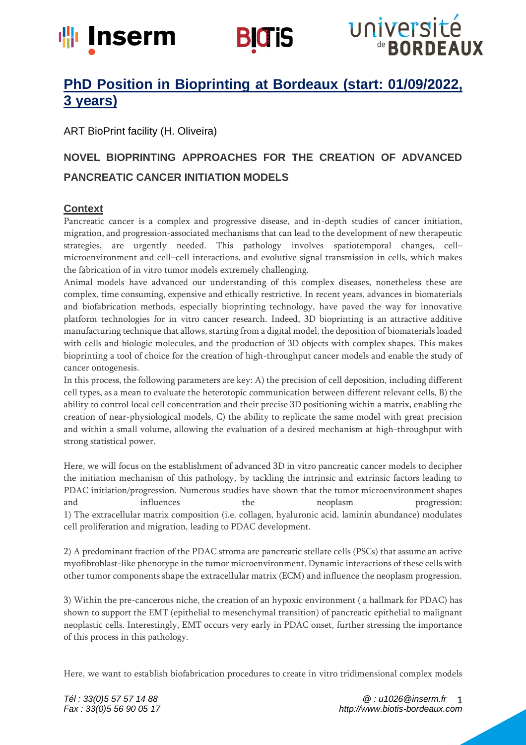



# université de **BORDEAUX**

# **PhD Position in Bioprinting at Bordeaux (start: 01/09/2022, 3 years)**

ART BioPrint facility (H. Oliveira)

# **NOVEL BIOPRINTING APPROACHES FOR THE CREATION OF ADVANCED PANCREATIC CANCER INITIATION MODELS**

# **Context**

Pancreatic cancer is a complex and progressive disease, and in-depth studies of cancer initiation, migration, and progression-associated mechanisms that can lead to the development of new therapeutic strategies, are urgently needed. This pathology involves spatiotemporal changes, cell– microenvironment and cell–cell interactions, and evolutive signal transmission in cells, which makes the fabrication of in vitro tumor models extremely challenging.

Animal models have advanced our understanding of this complex diseases, nonetheless these are complex, time consuming, expensive and ethically restrictive. In recent years, advances in biomaterials and biofabrication methods, especially bioprinting technology, have paved the way for innovative platform technologies for in vitro cancer research. Indeed, 3D bioprinting is an attractive additive manufacturing technique that allows, starting from a digital model, the deposition of biomaterials loaded with cells and biologic molecules, and the production of 3D objects with complex shapes. This makes bioprinting a tool of choice for the creation of high-throughput cancer models and enable the study of cancer ontogenesis.

In this process, the following parameters are key: A) the precision of cell deposition, including different cell types, as a mean to evaluate the heterotopic communication between different relevant cells, B) the ability to control local cell concentration and their precise 3D positioning within a matrix, enabling the creation of near-physiological models, C) the ability to replicate the same model with great precision and within a small volume, allowing the evaluation of a desired mechanism at high-throughput with strong statistical power.

Here, we will focus on the establishment of advanced 3D in vitro pancreatic cancer models to decipher the initiation mechanism of this pathology, by tackling the intrinsic and extrinsic factors leading to PDAC initiation/progression. Numerous studies have shown that the tumor microenvironment shapes and influences the neoplasm progression: 1) The extracellular matrix composition (i.e. collagen, hyaluronic acid, laminin abundance) modulates cell proliferation and migration, leading to PDAC development.

2) A predominant fraction of the PDAC stroma are pancreatic stellate cells (PSCs) that assume an active myofibroblast-like phenotype in the tumor microenvironment. Dynamic interactions of these cells with other tumor components shape the extracellular matrix (ECM) and influence the neoplasm progression.

3) Within the pre-cancerous niche, the creation of an hypoxic environment ( a hallmark for PDAC) has shown to support the EMT (epithelial to mesenchymal transition) of pancreatic epithelial to malignant neoplastic cells. Interestingly, EMT occurs very early in PDAC onset, further stressing the importance of this process in this pathology.

Here, we want to establish biofabrication procedures to create in vitro tridimensional complex models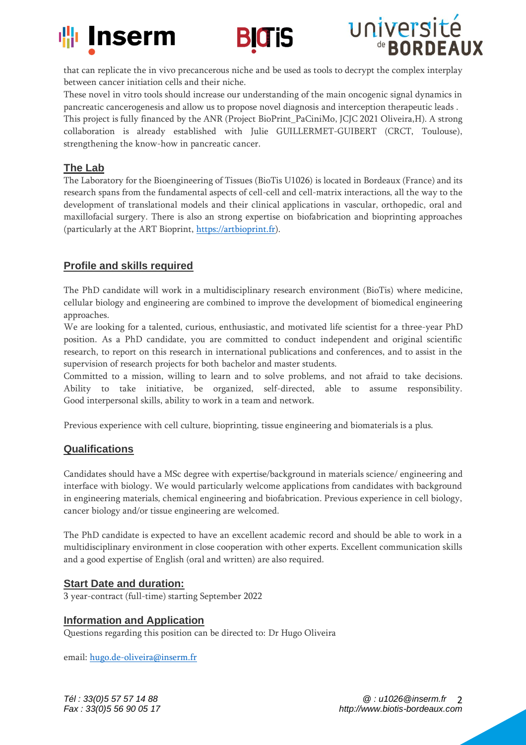





that can replicate the in vivo precancerous niche and be used as tools to decrypt the complex interplay between cancer initiation cells and their niche.

These novel in vitro tools should increase our understanding of the main oncogenic signal dynamics in pancreatic cancerogenesis and allow us to propose novel diagnosis and interception therapeutic leads . This project is fully financed by the ANR (Project BioPrint\_PaCiniMo, JCJC 2021 Oliveira,H). A strong collaboration is already established with Julie GUILLERMET-GUIBERT (CRCT, Toulouse), strengthening the know-how in pancreatic cancer.

#### **The Lab**

The Laboratory for the Bioengineering of Tissues (BioTis U1026) is located in Bordeaux (France) and its research spans from the fundamental aspects of cell-cell and cell-matrix interactions, all the way to the development of translational models and their clinical applications in vascular, orthopedic, oral and maxillofacial surgery. There is also an strong expertise on biofabrication and bioprinting approaches (particularly at the ART Bioprint, [https://artbioprint.fr\)](https://artbioprint.fr/).

## **Profile and skills required**

The PhD candidate will work in a multidisciplinary research environment (BioTis) where medicine, cellular biology and engineering are combined to improve the development of biomedical engineering approaches.

We are looking for a talented, curious, enthusiastic, and motivated life scientist for a three-year PhD position. As a PhD candidate, you are committed to conduct independent and original scientific research, to report on this research in international publications and conferences, and to assist in the supervision of research projects for both bachelor and master students.

Committed to a mission, willing to learn and to solve problems, and not afraid to take decisions. Ability to take initiative, be organized, self-directed, able to assume responsibility. Good interpersonal skills, ability to work in a team and network.

Previous experience with cell culture, bioprinting, tissue engineering and biomaterials is a plus.

### **Qualifications**

Candidates should have a MSc degree with expertise/background in materials science/ engineering and interface with biology. We would particularly welcome applications from candidates with background in engineering materials, chemical engineering and biofabrication. Previous experience in cell biology, cancer biology and/or tissue engineering are welcomed.

The PhD candidate is expected to have an excellent academic record and should be able to work in a multidisciplinary environment in close cooperation with other experts. Excellent communication skills and a good expertise of English (oral and written) are also required.

### **Start Date and duration:**

3 year-contract (full-time) starting September 2022

#### **Information and Application**

Questions regarding this position can be directed to: Dr Hugo Oliveira

email: [hugo.de-oliveira@inserm.fr](mailto:hugo.de-oliveira@inserm.fr)